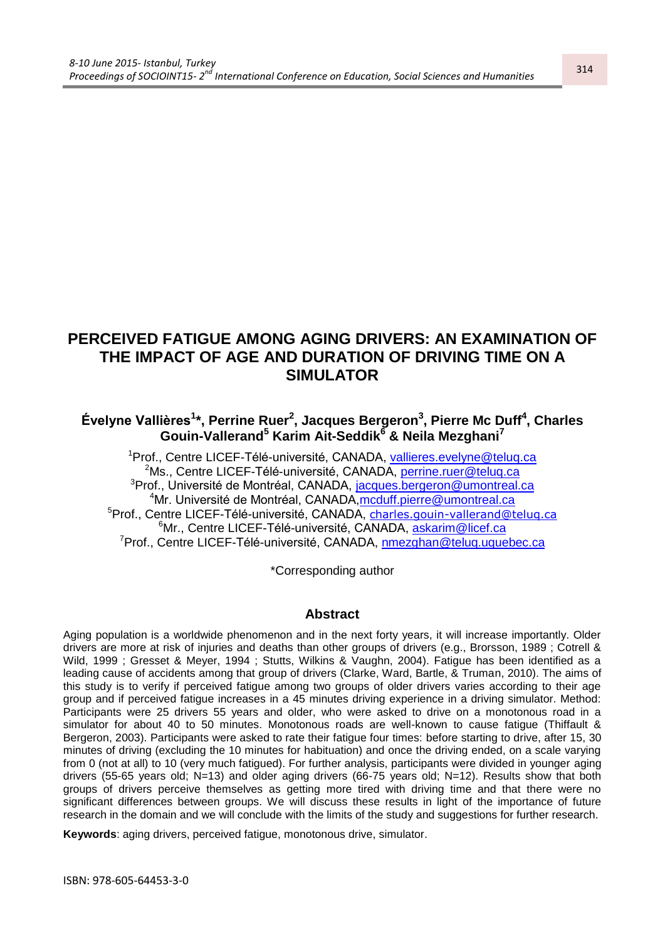# **PERCEIVED FATIGUE AMONG AGING DRIVERS: AN EXAMINATION OF THE IMPACT OF AGE AND DURATION OF DRIVING TIME ON A SIMULATOR**

# **Évelyne Vallières<sup>1</sup> \*, Perrine Ruer<sup>2</sup> , Jacques Bergeron<sup>3</sup> , Pierre Mc Duff<sup>4</sup> , Charles Gouin-Vallerand<sup>5</sup> Karim Ait-Seddik<sup>6</sup> & Neila Mezghani<sup>7</sup>**

<sup>1</sup>Prof., Centre LICEF-Télé-université, CANADA, [vallieres.evelyne@teluq.ca](mailto:vallieres.evelyne@teluq.ca) <sup>2</sup>Ms., Centre LICEF-Télé-université, CANADA, [perrine.ruer@teluq.ca](mailto:perrine.ruer@teluq.ca) <sup>3</sup>Prof., Université de Montréal, CANADA, [jacques.bergeron@umontreal.ca](mailto:jacques.bergeron@umontreal.ca) <sup>4</sup>Mr. Université de Montréal, CANADA, moduff.pierre@umontreal.ca <sup>5</sup>Prof., Centre LICEF-Télé-université, CANADA, [charles.gouin-vallerand@teluq.ca](mailto:charles.gouin-vallerand@teluq.ca) <sup>6</sup>Mr., Centre LICEF-Télé-université, CANADA, [askarim@licef.ca](mailto:askarim@licef.ca) <sup>7</sup>Prof., Centre LICEF-Télé-université, CANADA, [nmezghan@teluq.uquebec.ca](mailto:nmezghan@teluq.uquebec.ca)

\*Corresponding author

#### **Abstract**

Aging population is a worldwide phenomenon and in the next forty years, it will increase importantly. Older drivers are more at risk of injuries and deaths than other groups of drivers (e.g., Brorsson, 1989 ; Cotrell & Wild, 1999 ; Gresset & Meyer, 1994 ; Stutts, Wilkins & Vaughn, 2004). Fatigue has been identified as a leading cause of accidents among that group of drivers (Clarke, Ward, Bartle, & Truman, 2010). The aims of this study is to verify if perceived fatigue among two groups of older drivers varies according to their age group and if perceived fatigue increases in a 45 minutes driving experience in a driving simulator. Method: Participants were 25 drivers 55 years and older, who were asked to drive on a monotonous road in a simulator for about 40 to 50 minutes. Monotonous roads are well-known to cause fatigue (Thiffault & Bergeron, 2003). Participants were asked to rate their fatigue four times: before starting to drive, after 15, 30 minutes of driving (excluding the 10 minutes for habituation) and once the driving ended, on a scale varying from 0 (not at all) to 10 (very much fatigued). For further analysis, participants were divided in younger aging drivers (55-65 years old; N=13) and older aging drivers (66-75 years old; N=12). Results show that both groups of drivers perceive themselves as getting more tired with driving time and that there were no significant differences between groups. We will discuss these results in light of the importance of future research in the domain and we will conclude with the limits of the study and suggestions for further research.

**Keywords**: aging drivers, perceived fatigue, monotonous drive, simulator.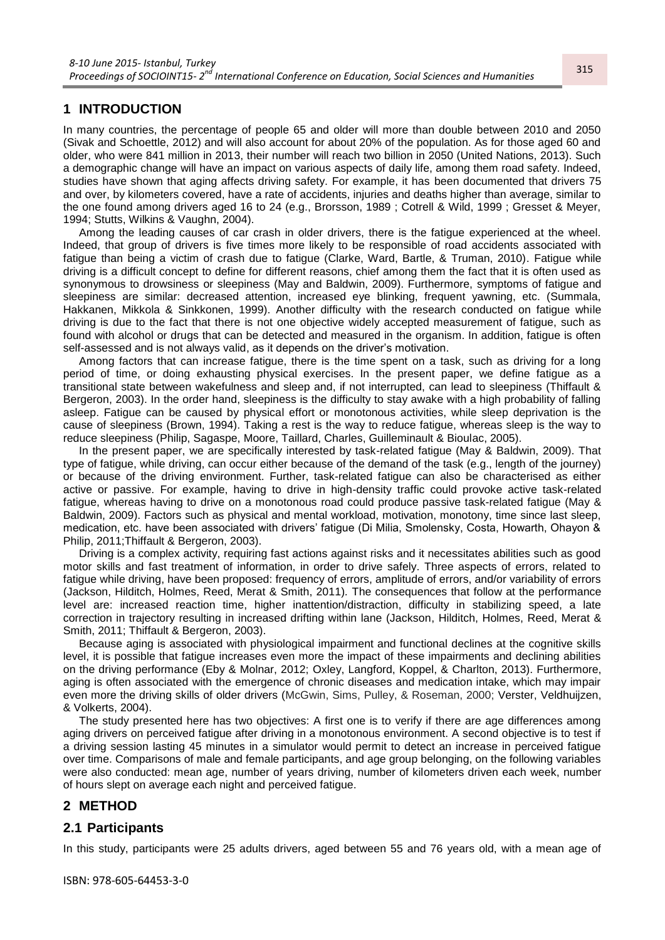#### **1 INTRODUCTION**

In many countries, the percentage of people 65 and older will more than double between 2010 and 2050 (Sivak and Schoettle, 2012) and will also account for about 20% of the population. As for those aged 60 and older, who were 841 million in 2013, their number will reach two billion in 2050 (United Nations, 2013). Such a demographic change will have an impact on various aspects of daily life, among them road safety. Indeed, studies have shown that aging affects driving safety. For example, it has been documented that drivers 75 and over, by kilometers covered, have a rate of accidents, injuries and deaths higher than average, similar to the one found among drivers aged 16 to 24 (e.g., Brorsson, 1989 ; Cotrell & Wild, 1999 ; Gresset & Meyer, 1994; Stutts, Wilkins & Vaughn, 2004).

Among the leading causes of car crash in older drivers, there is the fatigue experienced at the wheel. Indeed, that group of drivers is five times more likely to be responsible of road accidents associated with fatigue than being a victim of crash due to fatigue (Clarke, Ward, Bartle, & Truman, 2010). Fatigue while driving is a difficult concept to define for different reasons, chief among them the fact that it is often used as synonymous to drowsiness or sleepiness (May and Baldwin, 2009). Furthermore, symptoms of fatigue and sleepiness are similar: decreased attention, increased eye blinking, frequent yawning, etc. (Summala, Hakkanen, Mikkola & Sinkkonen, 1999). Another difficulty with the research conducted on fatigue while driving is due to the fact that there is not one objective widely accepted measurement of fatigue, such as found with alcohol or drugs that can be detected and measured in the organism. In addition, fatigue is often self-assessed and is not always valid, as it depends on the driver's motivation.

Among factors that can increase fatigue, there is the time spent on a task, such as driving for a long period of time, or doing exhausting physical exercises. In the present paper, we define fatigue as a transitional state between wakefulness and sleep and, if not interrupted, can lead to sleepiness (Thiffault & Bergeron, 2003). In the order hand, sleepiness is the difficulty to stay awake with a high probability of falling asleep. Fatigue can be caused by physical effort or monotonous activities, while sleep deprivation is the cause of sleepiness (Brown, 1994). Taking a rest is the way to reduce fatigue, whereas sleep is the way to reduce sleepiness (Philip, Sagaspe, Moore, Taillard, Charles, Guilleminault & Bioulac, 2005).

In the present paper, we are specifically interested by task-related fatigue (May & Baldwin, 2009). That type of fatigue, while driving, can occur either because of the demand of the task (e.g., length of the journey) or because of the driving environment. Further, task-related fatigue can also be characterised as either active or passive. For example, having to drive in high-density traffic could provoke active task-related fatigue, whereas having to drive on a monotonous road could produce passive task-related fatigue (May & Baldwin, 2009). Factors such as physical and mental workload, motivation, monotony, time since last sleep, medication, etc. have been associated with drivers' fatigue (Di Milia, Smolensky, Costa, Howarth, Ohayon & Philip, 2011;Thiffault & Bergeron, 2003).

Driving is a complex activity, requiring fast actions against risks and it necessitates abilities such as good motor skills and fast treatment of information, in order to drive safely. Three aspects of errors, related to fatigue while driving, have been proposed: frequency of errors, amplitude of errors, and/or variability of errors (Jackson, Hilditch, Holmes, Reed, Merat & Smith, 2011)*.* The consequences that follow at the performance level are: increased reaction time, higher inattention/distraction, difficulty in stabilizing speed, a late correction in trajectory resulting in increased drifting within lane (Jackson, Hilditch, Holmes, Reed, Merat & Smith, 2011; Thiffault & Bergeron, 2003).

Because aging is associated with physiological impairment and functional declines at the cognitive skills level, it is possible that fatigue increases even more the impact of these impairments and declining abilities on the driving performance (Eby & Molnar, 2012; Oxley, Langford, Koppel, & Charlton, 2013). Furthermore, aging is often associated with the emergence of chronic diseases and medication intake, which may impair even more the driving skills of older drivers (McGwin, Sims, Pulley, & Roseman, 2000; Verster, Veldhuijzen, & Volkerts, 2004).

The study presented here has two objectives: A first one is to verify if there are age differences among aging drivers on perceived fatigue after driving in a monotonous environment. A second objective is to test if a driving session lasting 45 minutes in a simulator would permit to detect an increase in perceived fatigue over time. Comparisons of male and female participants, and age group belonging, on the following variables were also conducted: mean age, number of years driving, number of kilometers driven each week, number of hours slept on average each night and perceived fatigue.

#### **2 METHOD**

### **2.1 Participants**

In this study, participants were 25 adults drivers, aged between 55 and 76 years old, with a mean age of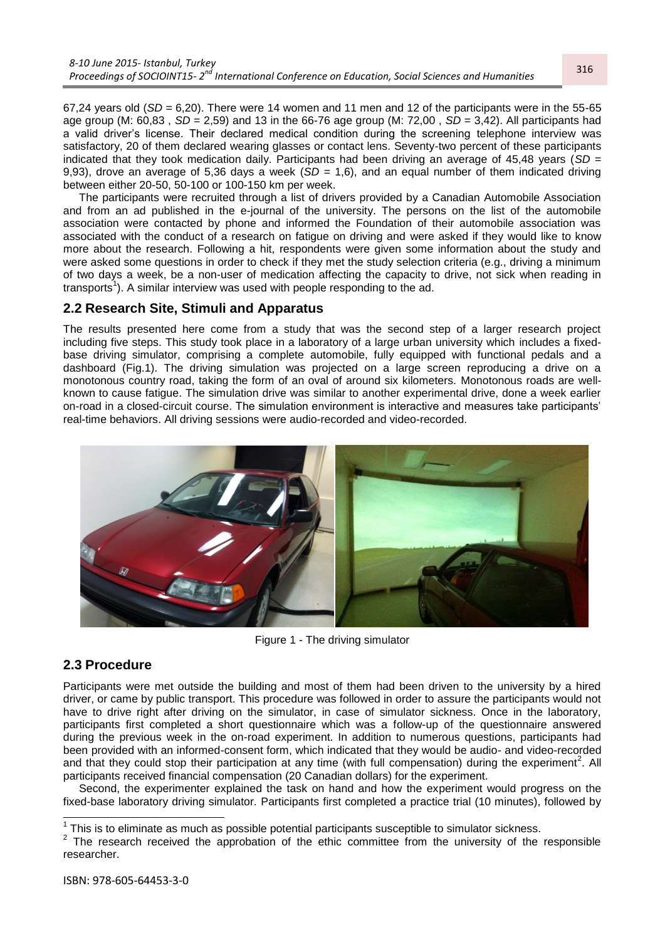67.24 years old  $(SD = 6.20)$ . There were 14 women and 11 men and 12 of the participants were in the 55-65 age group (M: 60,83 , *SD* = 2,59) and 13 in the 66-76 age group (M: 72,00 , *SD* = 3,42). All participants had a valid driver's license. Their declared medical condition during the screening telephone interview was satisfactory, 20 of them declared wearing glasses or contact lens. Seventy-two percent of these participants indicated that they took medication daily. Participants had been driving an average of 45,48 years (*SD* = 9,93), drove an average of 5,36 days a week (*SD* = 1,6), and an equal number of them indicated driving between either 20-50, 50-100 or 100-150 km per week.

The participants were recruited through a list of drivers provided by a Canadian Automobile Association and from an ad published in the e-journal of the university. The persons on the list of the automobile association were contacted by phone and informed the Foundation of their automobile association was associated with the conduct of a research on fatigue on driving and were asked if they would like to know more about the research. Following a hit, respondents were given some information about the study and were asked some questions in order to check if they met the study selection criteria (e.g., driving a minimum of two days a week, be a non-user of medication affecting the capacity to drive, not sick when reading in transports<sup>1</sup>). A similar interview was used with people responding to the ad.

#### **2.2 Research Site, Stimuli and Apparatus**

The results presented here come from a study that was the second step of a larger research project including five steps. This study took place in a laboratory of a large urban university which includes a fixedbase driving simulator, comprising a complete automobile, fully equipped with functional pedals and a dashboard (Fig.1). The driving simulation was projected on a large screen reproducing a drive on a monotonous country road, taking the form of an oval of around six kilometers. Monotonous roads are wellknown to cause fatigue. The simulation drive was similar to another experimental drive, done a week earlier on-road in a closed-circuit course. The simulation environment is interactive and measures take participants' real-time behaviors. All driving sessions were audio-recorded and video-recorded.



Figure 1 - The driving simulator

#### **2.3 Procedure**

 $\overline{\phantom{a}}$ 

Participants were met outside the building and most of them had been driven to the university by a hired driver, or came by public transport. This procedure was followed in order to assure the participants would not have to drive right after driving on the simulator, in case of simulator sickness. Once in the laboratory, participants first completed a short questionnaire which was a follow-up of the questionnaire answered during the previous week in the on-road experiment. In addition to numerous questions, participants had been provided with an informed-consent form, which indicated that they would be audio- and video-recorded and that they could stop their participation at any time (with full compensation) during the experiment<sup>2</sup>. All participants received financial compensation (20 Canadian dollars) for the experiment.

Second, the experimenter explained the task on hand and how the experiment would progress on the fixed-base laboratory driving simulator. Participants first completed a practice trial (10 minutes), followed by

 $1$  This is to eliminate as much as possible potential participants susceptible to simulator sickness.

 $2$  The research received the approbation of the ethic committee from the university of the responsible researcher.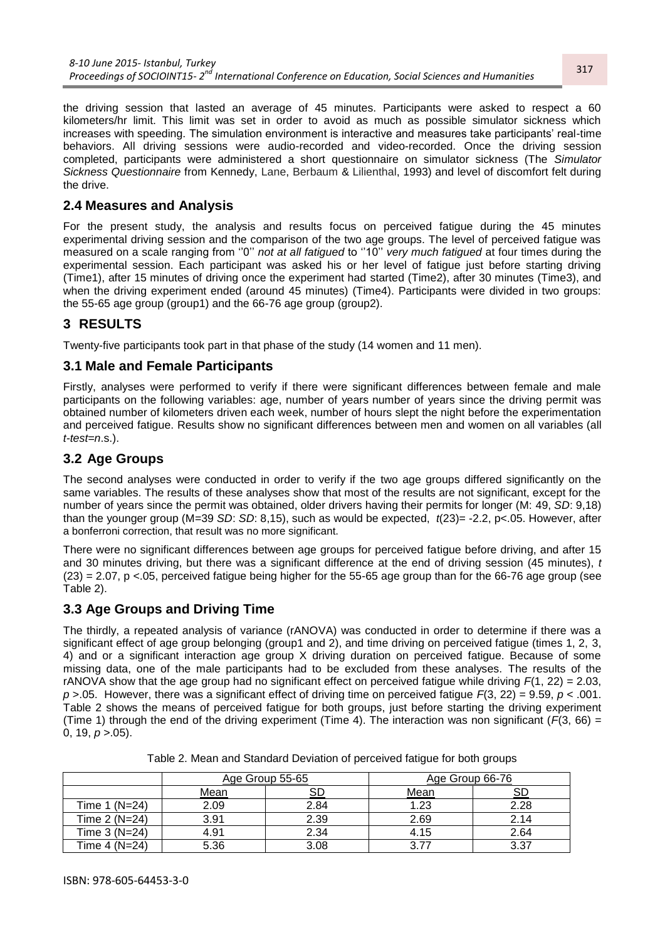the driving session that lasted an average of 45 minutes. Participants were asked to respect a 60 kilometers/hr limit. This limit was set in order to avoid as much as possible simulator sickness which increases with speeding. The simulation environment is interactive and measures take participants' real-time behaviors. All driving sessions were audio-recorded and video-recorded. Once the driving session completed, participants were administered a short questionnaire on simulator sickness (The *Simulator Sickness Questionnaire* from Kennedy, Lane, Berbaum & Lilienthal, 1993) and level of discomfort felt during the drive.

## **2.4 Measures and Analysis**

For the present study, the analysis and results focus on perceived fatigue during the 45 minutes experimental driving session and the comparison of the two age groups. The level of perceived fatigue was measured on a scale ranging from ''0'' *not at all fatigued* to ''10'' *very much fatigued* at four times during the experimental session. Each participant was asked his or her level of fatigue just before starting driving (Time1), after 15 minutes of driving once the experiment had started (Time2), after 30 minutes (Time3), and when the driving experiment ended (around 45 minutes) (Time4). Participants were divided in two groups: the 55-65 age group (group1) and the 66-76 age group (group2).

# **3 RESULTS**

Twenty-five participants took part in that phase of the study (14 women and 11 men).

#### **3.1 Male and Female Participants**

Firstly, analyses were performed to verify if there were significant differences between female and male participants on the following variables: age, number of years number of years since the driving permit was obtained number of kilometers driven each week, number of hours slept the night before the experimentation and perceived fatigue. Results show no significant differences between men and women on all variables (all *t-test=n*.s.).

### **3.2 Age Groups**

The second analyses were conducted in order to verify if the two age groups differed significantly on the same variables. The results of these analyses show that most of the results are not significant, except for the number of years since the permit was obtained, older drivers having their permits for longer (M: 49, *SD*: 9,18) than the younger group (M=39 *SD*: *SD*: 8,15), such as would be expected, *t*(23)= -2.2, p<.05. However, after a bonferroni correction, that result was no more significant.

There were no significant differences between age groups for perceived fatigue before driving, and after 15 and 30 minutes driving, but there was a significant difference at the end of driving session (45 minutes), *t*   $(23) = 2.07$ , p <.05, perceived fatigue being higher for the 55-65 age group than for the 66-76 age group (see Table 2).

### **3.3 Age Groups and Driving Time**

The thirdly, a repeated analysis of variance (rANOVA) was conducted in order to determine if there was a significant effect of age group belonging (group1 and 2), and time driving on perceived fatigue (times 1, 2, 3, 4) and or a significant interaction age group X driving duration on perceived fatigue. Because of some missing data, one of the male participants had to be excluded from these analyses. The results of the rANOVA show that the age group had no significant effect on perceived fatigue while driving  $F(1, 22) = 2.03$ . *p* >.05. However, there was a significant effect of driving time on perceived fatigue *F*(3, 22) = 9.59, *p* < .001. Table 2 shows the means of perceived fatigue for both groups, just before starting the driving experiment (Time 1) through the end of the driving experiment (Time 4). The interaction was non significant ( $F(3, 66) =$ 0, 19,  $p > 0.05$ ).

|               | Age Group 55-65 |      | Age Group 66-76 |      |
|---------------|-----------------|------|-----------------|------|
|               | <u>Mean</u>     |      | Mean            |      |
| Time 1 (N=24) | 2.09            | 2.84 | 1.23            | 2.28 |
| Time 2 (N=24) | 3.91            | 2.39 | 2.69            | 2.14 |
| Time 3 (N=24) | 4.91            | 2.34 | 4.15            | 2.64 |
| Time 4 (N=24) | 5.36            | 3.08 | 3.77            | 2 27 |

Table 2. Mean and Standard Deviation of perceived fatigue for both groups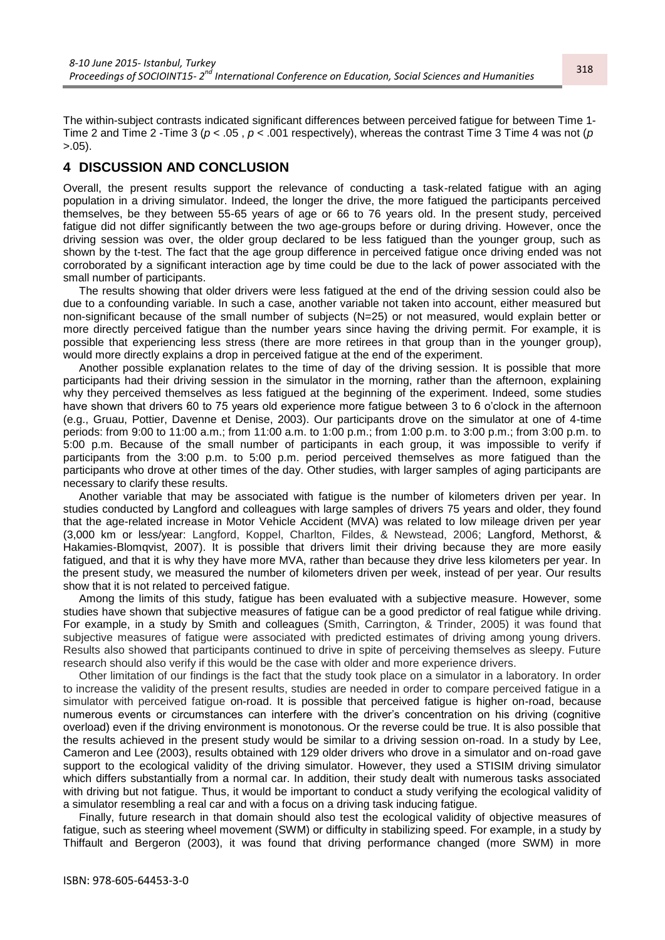The within-subject contrasts indicated significant differences between perceived fatigue for between Time 1- Time 2 and Time 2 -Time 3 (*p* < .05 , *p* < .001 respectively), whereas the contrast Time 3 Time 4 was not (*p* >.05).

#### **4 DISCUSSION AND CONCLUSION**

Overall, the present results support the relevance of conducting a task-related fatigue with an aging population in a driving simulator. Indeed, the longer the drive, the more fatigued the participants perceived themselves, be they between 55-65 years of age or 66 to 76 years old. In the present study, perceived fatigue did not differ significantly between the two age-groups before or during driving. However, once the driving session was over, the older group declared to be less fatigued than the younger group, such as shown by the t-test. The fact that the age group difference in perceived fatigue once driving ended was not corroborated by a significant interaction age by time could be due to the lack of power associated with the small number of participants.

The results showing that older drivers were less fatigued at the end of the driving session could also be due to a confounding variable. In such a case, another variable not taken into account, either measured but non-significant because of the small number of subjects (N=25) or not measured, would explain better or more directly perceived fatigue than the number years since having the driving permit. For example, it is possible that experiencing less stress (there are more retirees in that group than in the younger group), would more directly explains a drop in perceived fatigue at the end of the experiment.

Another possible explanation relates to the time of day of the driving session. It is possible that more participants had their driving session in the simulator in the morning, rather than the afternoon, explaining why they perceived themselves as less fatigued at the beginning of the experiment. Indeed, some studies have shown that drivers 60 to 75 years old experience more fatigue between 3 to 6 o'clock in the afternoon (e.g., Gruau, Pottier, Davenne et Denise, 2003). Our participants drove on the simulator at one of 4-time periods: from 9:00 to 11:00 a.m.; from 11:00 a.m. to 1:00 p.m.; from 1:00 p.m. to 3:00 p.m.; from 3:00 p.m. to 5:00 p.m. Because of the small number of participants in each group, it was impossible to verify if participants from the 3:00 p.m. to 5:00 p.m. period perceived themselves as more fatigued than the participants who drove at other times of the day. Other studies, with larger samples of aging participants are necessary to clarify these results.

Another variable that may be associated with fatigue is the number of kilometers driven per year. In studies conducted by Langford and colleagues with large samples of drivers 75 years and older, they found that the age-related increase in Motor Vehicle Accident (MVA) was related to low mileage driven per year (3,000 km or less/year: Langford, Koppel, Charlton, Fildes, & Newstead, 2006; Langford, Methorst, & Hakamies-Blomqvist, 2007). It is possible that drivers limit their driving because they are more easily fatigued, and that it is why they have more MVA, rather than because they drive less kilometers per year. In the present study, we measured the number of kilometers driven per week, instead of per year. Our results show that it is not related to perceived fatigue.

Among the limits of this study, fatigue has been evaluated with a subjective measure. However, some studies have shown that subjective measures of fatigue can be a good predictor of real fatigue while driving. For example, in a study by Smith and colleagues (Smith, Carrington, & Trinder, 2005) it was found that subjective measures of fatigue were associated with predicted estimates of driving among young drivers. Results also showed that participants continued to drive in spite of perceiving themselves as sleepy. Future research should also verify if this would be the case with older and more experience drivers.

Other limitation of our findings is the fact that the study took place on a simulator in a laboratory. In order to increase the validity of the present results, studies are needed in order to compare perceived fatigue in a simulator with perceived fatigue on-road. It is possible that perceived fatigue is higher on-road, because numerous events or circumstances can interfere with the driver's concentration on his driving (cognitive overload) even if the driving environment is monotonous. Or the reverse could be true. It is also possible that the results achieved in the present study would be similar to a driving session on-road. In a study by Lee, Cameron and Lee (2003), results obtained with 129 older drivers who drove in a simulator and on-road gave support to the ecological validity of the driving simulator. However, they used a STISIM driving simulator which differs substantially from a normal car. In addition, their study dealt with numerous tasks associated with driving but not fatigue. Thus, it would be important to conduct a study verifying the ecological validity of a simulator resembling a real car and with a focus on a driving task inducing fatigue.

Finally, future research in that domain should also test the ecological validity of objective measures of fatigue, such as steering wheel movement (SWM) or difficulty in stabilizing speed. For example, in a study by Thiffault and Bergeron (2003), it was found that driving performance changed (more SWM) in more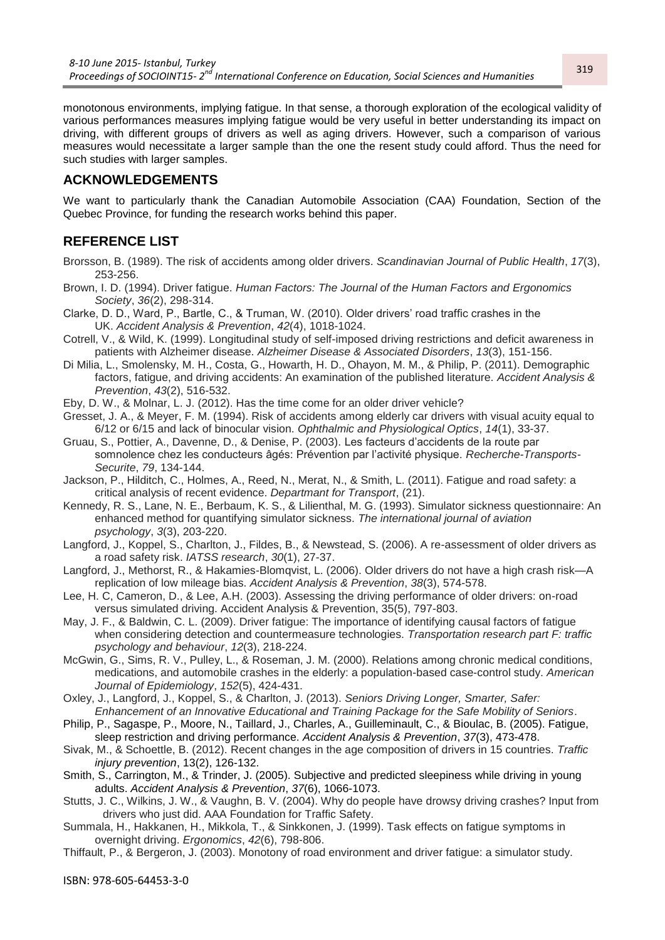monotonous environments, implying fatigue. In that sense, a thorough exploration of the ecological validity of various performances measures implying fatigue would be very useful in better understanding its impact on driving, with different groups of drivers as well as aging drivers. However, such a comparison of various measures would necessitate a larger sample than the one the resent study could afford. Thus the need for such studies with larger samples.

### **ACKNOWLEDGEMENTS**

We want to particularly thank the Canadian Automobile Association (CAA) Foundation, Section of the Quebec Province, for funding the research works behind this paper.

### **REFERENCE LIST**

- Brorsson, B. (1989). The risk of accidents among older drivers. *Scandinavian Journal of Public Health*, *17*(3), 253-256.
- Brown, I. D. (1994). Driver fatigue. *Human Factors: The Journal of the Human Factors and Ergonomics Society*, *36*(2), 298-314.
- Clarke, D. D., Ward, P., Bartle, C., & Truman, W. (2010). Older drivers' road traffic crashes in the UK. *Accident Analysis & Prevention*, *42*(4), 1018-1024.
- Cotrell, V., & Wild, K. (1999). Longitudinal study of self-imposed driving restrictions and deficit awareness in patients with Alzheimer disease. *Alzheimer Disease & Associated Disorders*, *13*(3), 151-156.
- Di Milia, L., Smolensky, M. H., Costa, G., Howarth, H. D., Ohayon, M. M., & Philip, P. (2011). Demographic factors, fatigue, and driving accidents: An examination of the published literature. *Accident Analysis & Prevention*, *43*(2), 516-532.
- Eby, D. W., & Molnar, L. J. (2012). Has the time come for an older driver vehicle?
- Gresset, J. A., & Meyer, F. M. (1994). Risk of accidents among elderly car drivers with visual acuity equal to 6/12 or 6/15 and lack of binocular vision. *Ophthalmic and Physiological Optics*, *14*(1), 33-37.
- Gruau, S., Pottier, A., Davenne, D., & Denise, P. (2003). Les facteurs d'accidents de la route par somnolence chez les conducteurs âgés: Prévention par l'activité physique. *Recherche-Transports-Securite*, *79*, 134-144.
- Jackson, P., Hilditch, C., Holmes, A., Reed, N., Merat, N., & Smith, L. (2011). Fatigue and road safety: a critical analysis of recent evidence. *Departmant for Transport*, (21).
- Kennedy, R. S., Lane, N. E., Berbaum, K. S., & Lilienthal, M. G. (1993). Simulator sickness questionnaire: An enhanced method for quantifying simulator sickness. *The international journal of aviation psychology*, *3*(3), 203-220.
- Langford, J., Koppel, S., Charlton, J., Fildes, B., & Newstead, S. (2006). A re-assessment of older drivers as a road safety risk. *IATSS research*, *30*(1), 27-37.
- Langford, J., Methorst, R., & Hakamies-Blomqvist, L. (2006). Older drivers do not have a high crash risk—A replication of low mileage bias. *Accident Analysis & Prevention*, *38*(3), 574-578.
- Lee, H. C, Cameron, D., & Lee, A.H. (2003). Assessing the driving performance of older drivers: on-road versus simulated driving. Accident Analysis & Prevention, 35(5), 797-803.
- May, J. F., & Baldwin, C. L. (2009). Driver fatigue: The importance of identifying causal factors of fatigue when considering detection and countermeasure technologies. *Transportation research part F: traffic psychology and behaviour*, *12*(3), 218-224.
- McGwin, G., Sims, R. V., Pulley, L., & Roseman, J. M. (2000). Relations among chronic medical conditions, medications, and automobile crashes in the elderly: a population-based case-control study. *American Journal of Epidemiology*, *152*(5), 424-431.
- Oxley, J., Langford, J., Koppel, S., & Charlton, J. (2013). *Seniors Driving Longer, Smarter, Safer: Enhancement of an Innovative Educational and Training Package for the Safe Mobility of Seniors*.
- Philip, P., Sagaspe, P., Moore, N., Taillard, J., Charles, A., Guilleminault, C., & Bioulac, B. (2005). Fatigue, sleep restriction and driving performance. *Accident Analysis & Prevention*, *37*(3), 473-478.
- Sivak, M., & Schoettle, B. (2012). Recent changes in the age composition of drivers in 15 countries. *Traffic injury prevention*, 13(2), 126-132.
- Smith, S., Carrington, M., & Trinder, J. (2005). Subjective and predicted sleepiness while driving in young adults. *Accident Analysis & Prevention*, *37*(6), 1066-1073.
- Stutts, J. C., Wilkins, J. W., & Vaughn, B. V. (2004). Why do people have drowsy driving crashes? Input from drivers who just did. AAA Foundation for Traffic Safety.
- Summala, H., Hakkanen, H., Mikkola, T., & Sinkkonen, J. (1999). Task effects on fatigue symptoms in overnight driving. *Ergonomics*, *42*(6), 798-806.
- Thiffault, P., & Bergeron, J. (2003). Monotony of road environment and driver fatigue: a simulator study.